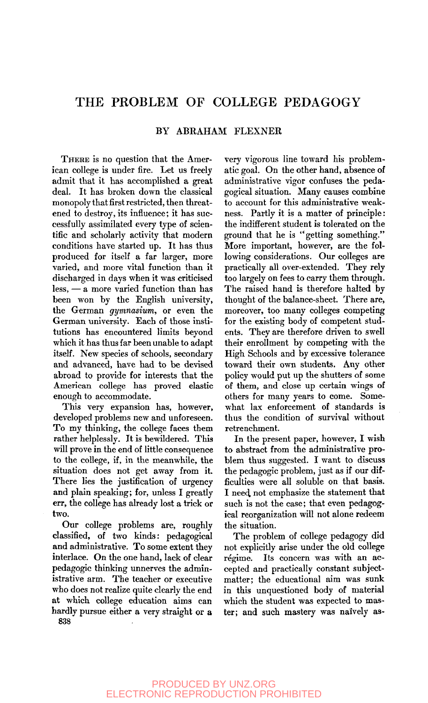## THE PROBLEM OF COLLEGE PEDAGOGY

## BY ABRAHAM FLEXNER

THERE is no question that the American college is under fire. Let us freely admit that it has accomplished a great deal. It has broken down the classical monopoly that first restricted, then threatened to destroy, its influence; it has successfully assimilated every type of scientific and scholarly activity that modern conditions have started up. It has thus produced for itself a far larger, more varied, and more vital function than it discharged in days when it was criticised less, — a more varied function than has been won by the English university, the German *gymnasium,* or even the German university. Each of those institutions has encountered limits beyond which it has thus far been unable to adapt itself. New species of schools, secondary and advanced, have had to be devised abroad to provide for interests that the American college has proved elastic enough to accommodate.

This very expansion has, however, developed problems new and unforeseen. To my thinking, the college faces them rather helplessly. It is bewildered. This will prove in the end of little consequence to the college, if, in the meanwhile, the situation does not get away from it. There lies the justification of urgency and plain speaking; for, unless I greatly err, the college has already lost a trick or two.

Our college problems are, roughly classified, of two kinds: pedagogical and administrative. To some extent they interlace. On the one hand, lack of clear pedagogic thinking unnerves the administrative arm. The teacher or executive who does not realize quite clearly the end at which college education aims can hardly pursue either a very straight or a 838

very vigorous line toward his problematic goal. On the other hand, absence of administrative vigor confuses the pedagogical situation. Many causes combine to account for this administrative weakness. Partly it is a matter of principle: the indifferent student is tolerated on the ground that he is "getting something." More important, however, are the following considerations. Our colleges are practically all over-extended. They rely too largely on fees to carry them through. The raised hand is therefore halted by thought of the balance-sheet. There are, moreover, too many colleges competing for the existing body of competent students. They are therefore driven to swell their enrollment by competing with the High Schools and by excessive tolerance toward their own students. Any other policy would put up the shutters of some of them, and close up certain wings of others for many years to come. Somewhat lax enforcement of standards is thus the condition of survival without retrenchment.

In the present paper, however, I wish to abstract from the administrative problem thus suggested. I want to discuss the pedagogic problem, just as if our difficulties were all soluble on that basis. I nee4 not emphasize the statement that such is not the case; that even pedagogical reorganization will not alone redeem the situation.

The problem of college pedagogy did not explicitly arise under the old college régime. Its concern was with an accepted and practically constant subjectmatter; the educational aim was sunk in this unquestioned body of material which the student was expected to master; and such mastery was naively as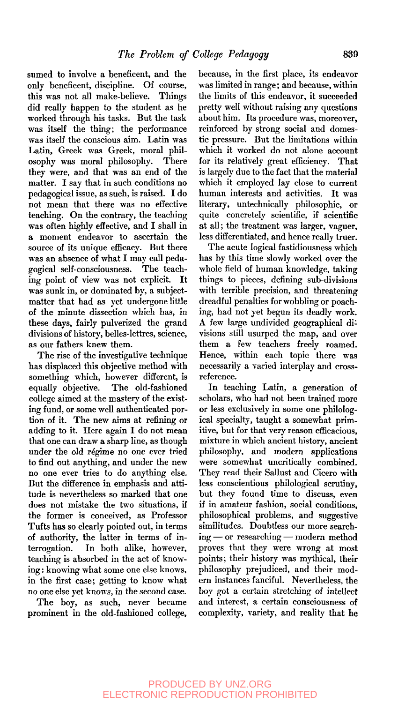sumed to involve a beneficent, and the only beneficent, discipline. Of course, this was not all make-believe. Things did really happen to the student as he worked through his tasks. But the task was itself the thing; the performance was itself the conscious aim. Latin was Latin, Greek was Greek, moral philosophy was moral philosophy. There they were, and that was an end of the matter. I say that in such conditions no pedagogical issue, as such, is raised. I do not mean that there was no effective teaching. On the contrary, the teaching was often highly effective, and I shall in a moment endeavor to ascertain the source of its unique efficacy. But there was an absence of what I may call pedagogical self-consciousness. The teaching point of view was not explicit. It was sunk in, or dominated by, a subjectmatter that had as yet undergone little of the minute dissection which has, in these days, fairly pulverized the grand divisions of history, belles-lettres, science, as our fathers knew them.

The rise of the investigative technique has displaced this objective method with something which, however different, is equally objective. The old-fashioned college aimed at the mastery of the existing fund, or some well authenticated portion of it. The new aims at refining or adding to it. Here again I do not mean that one can draw a sharp line, as though under the old régime no one ever tried to find out anything, and under the new no one ever tries to do anything else. But the difference in emphasis and attitude is nevertheless so marked that one does not mistake the two situations, if the former is conceived, as Professor Tufts has so clearly pointed out, in terms of authority, the latter in terms of interrogation. In both alike, however, teaching is absorbed in the act of knowing : knowing what some one else knows, in the first case; getting to know what no one else yet knows, in the second case.

The boy, as such, never became prominent in the old-fashioned college. because, in the first place, its endeavor was limited in range; and because, within the limits of this endeavor, it succeeded pretty well without raising any questions about him. Its procedure was, moreover, reinforced by strong social and domestic pressure. But the limitations within which it worked do not alone account for its relatively great efficiency. That is largely due to the fact that the material which it employed lay close to current human interests and activities. It was literary, untechnically philosophic, or quite concretely scientific, if scientific at all; the treatment was larger, vaguer, less differentiated, and hence really truer.

The acute logical fastidiousness which has by this time slowly worked over the whole field of human knowledge, taking things to pieces, defining sub-divisions with terrible precision, and threatening dreadful penalties for wobbling or poaching, had not yet begun its deadly work. A few large undivided geographical divisions still usurped the map, and over them a few teachers freely roamed. Hence, within each topic there was necessarily a varied interplay and crossreference.

In teaching Latin, a generation of scholars, who had not been trained more or less exclusively in some one philological specialty, taught a somewhat primitive, but for that very reason efficacious, mixture in which ancient history, ancient philosophy, and modern applications were somewhat uncritically combined. They read their Sallust and Cicero with less conscientious philological scrutiny, but they found time to discuss, even if in amateur fashion, social conditions, philosophical problems, and suggestive similitudes. Doubtless our more searching — or researching — modern method proves that they were wrong at most points; their history was mythical, their philosophy prejudiced, and their modern instances fanciful. Nevertheless, the boy got a certain stretching of intellect and interest, a certain consciousness of complexity, variety, and reality that he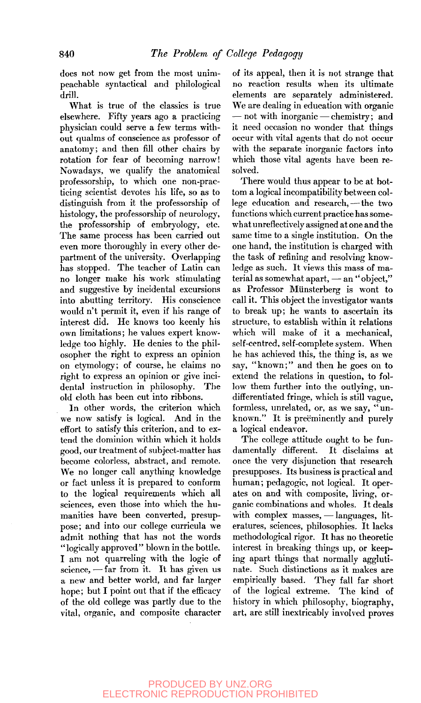does not now get from the most unimpeachable syntactical and philological drill.

What is true of the classics is true elsewhere. Fifty years ago a practicing physician could serve a few terms without qualms of conscience as professor of anatomy; and then fill other chairs by rotation for fear of becoming narrow! Nowadays, we qualify the anatomical professorship, to which one non-practicing scientist devotes his life, so as to distinguish from it the professorship of histology, the professorship of neurology, the professorship of embryology, etc. The same process has been carried out even more thoroughly in every other department of the university. Overlapping has stopped. The teacher of Latin can no longer make his work stimulating and suggestive by incidental excursions into abutting territory. His conscience would n't permit it, even if his range of interest did. He knows too keenly his own limitations; he values expert knowledge too highly. He denies to the philosopher the right to express an opinion on etymology; of course, he claims no right to express an opinion or give incidental instruction in philosophy. The old cloth has been cut into ribbons.

In other words, the criterion which we now satisfy is logical. And in the effort to satisfy this criterion, and to extend the dominion within which it holds good, our treatment of subject-matter has become colorless, abstract, and remote. We no longer call anything knowledge or fact unless it is prepared to conform to the logical requirements which all sciences, even those into which the humanities have been converted, presuppose; and into our college curricula we admit nothing that has not the words "logically approved" blown in the bottle. I am not quarreling with the logic of science, — far from it. It has given us a new and better world, and far larger hope; but I point out that if the efficacy of the old college was partly due to the vital, organic, and composite character of its appeal, then it is not strange that no reaction results when its ultimate elements are separately administered. We are dealing in education with organic — not with inorganic — chemistry; and it need occasion no wonder that things occur with vital agents that do not occur with the separate inorganic factors into which those vital agents have been resolved.

There would thus appear to be at bottom a logical incompatibility between college education and research, — the two functions which current practice has somewhat unreflectively assigned at one and the same time to a single institution. On the one hand, the institution is charged with the task of refining and resolving knowledge as such. It views this mass of material as somewhat apart, — an "object," as Professor Munsterberg is wont to call it. This object the investigator wants to break up; he wants to ascertain its structure, to establish within it relations which will make of it a mechanical, self-centred, self-complete system. When he has achieved this, the thing is, as we say, "known;" and then he goes on to extend the relations in question, to follow them further into the outlying, undifferentiated fringe, which is still vague, formless, unrelated, or, as we say, "unknown." It is preëminently and purely a logical endeavor.

The college attitude ought to be fundamentally different. It disclaims at once the very disjunction that research presupposes. Its business is practical and human; pedagogic, not logical. It operates on and with composite, living, organic combinations and wholes. It deals with complex masses, — languages, literatures, sciences, philosophies. It lacks methodological rigor. It has no theoretic interest in breaking things up, or keeping apart things that normally agglutinate. Such distinctions as it makes are empirically based. They fall far short of the logical extreme. The kind of history in which philosophy, biography, art, are still inextricably involved proves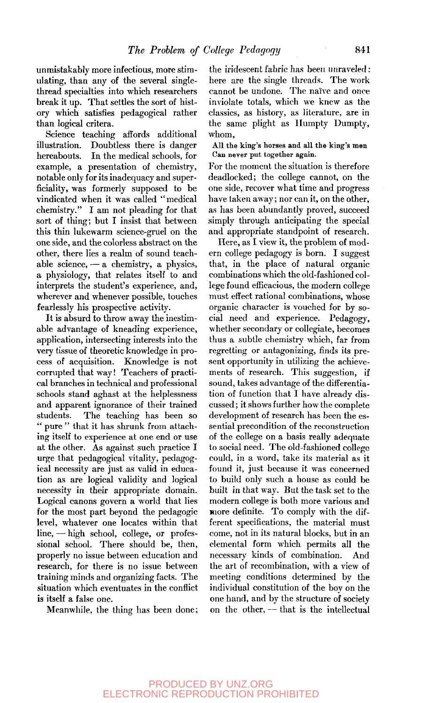unmistakably more infectious, more stimulating, than any of the several singlethread specialties into which researchers break it up. That settles the sort of history which satisfies pedagogical rather than logical critera.

Science teaching affords additional illustration. Doubtless there is danger hereabouts. In the medical schools, for example, a presentation of chemistry, notable only for its inadequacy and superficiality, was formerly supposed to be vindicated when it was called "medical chemistry." I am not pleading for that sort of thing; but I insist that between this thin lukewarm science-gruel on the one side, and the colorless abstract on the other, there lies a realm of sound teachable science, — a chemistry, a physics, a physiology, that relates itself to and interprets the student's experience, and, wherever and whenever possible, touches fearlessly his prospective activity.

It is absurd to throw away the inestimable advantage of kneading experience, application, intersecting interests into the very tissue of theoretic knowledge in process of acquisition. Knowledge is not corrupted that way! Teachers of practical branches in technical and professional schools stand aghast at the helplessness and apparent ignorance of their trained students. The teaching has been so " pure " that it has shrunk from attaching itself to experience at one end or use at the other. As against such practice I urge that pedagogical vitality, pedagogical necessity are just as valid in education as are logical validity and logical necessity in their appropriate domain. Logical canons govern a world that lies for the most part beyond the pedagogic level, whatever one locates within that line, — high school, college, or professional school. There should be, then, properly no issue between education and research, for there is no issue between training minds and organizing facts. The situation which eventuates in the conflict is itself a false one.

Meanwhile, the thing has been done;

the iridescent fabric has been unraveled: here are the single threads. The work cannot be undone. The naive and once inviolate totals, which we knew as the classics, as history, as literature, are in the same plight as Ilumpty Dumpty, whom.

All the king's horses and all the king's men Can never put together again.

For the moment the situation is therefore deadlocked; the college cannot, on the one side, recover what time and progress have taken away; nor can it, on the other, as has been abundantly proved, succeed simply through anticipating the special and appropriate standpoint of research.

Here, as I view it, the problem of modern college pedagogy is born. I suggest that, in the place of natural organic combinations which the old-fashioned college found efficacious, the modern college must effect rational combinations, whose organic character is vouched for by social need and experience. Pedagogy, whether secondary or collegiate, becomes thus a subtle chemistry which, far from regretting or antagonizing, finds its present opportunity in utilizing the achievements of research. This suggestion, if sound, takes advantage of the differentiation of function that I have already discussed ; it shows further how the complete development of research has been the essential precondition of the reconstruction of the college on a basis really adequate to social need. The old-fashioned college could, in a word, take its material as it found it, just because it was concerned to build only such a house as could be built in that way. But the task set to the modern college is both more various and more definite. To comply with the different specifications, the material must come, not in its natural blocks, but in an elemental form which permits all the necessary kinds of combination. And the art of recombination, with a view of meeting conditions determined by the individual constitution of the bov on the one hand, and by the structure of society on the other, — that is the intellectual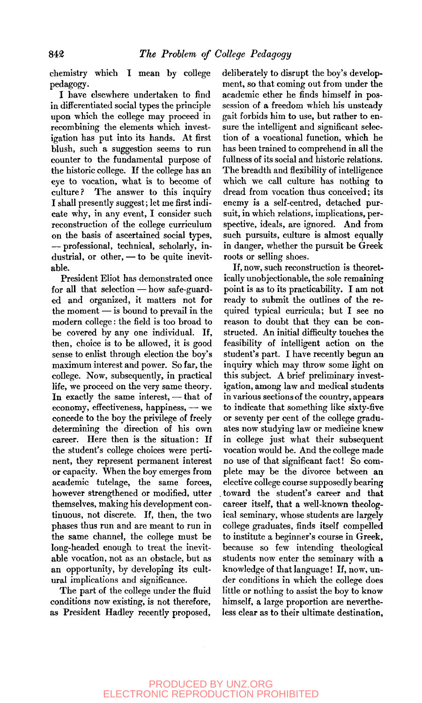chemistry which I mean by college pedagogy.

I have elsewhere undertaken to find in differentiated social types the principle upon which the college may proceed in recombining the elements which investigation has put into its hands. At first blush, such a suggestion seems to run counter to the fundamental purpose of the historic college. If the college has an eye to vocation, what is to become of culture? The answer to this inquiry I shall presently suggest; let me first indicate why, in any event, I consider such reconstruction of the college curriculum on the basis of ascertained social types, — professional, technical, scholarly, industrial, or other, — to be quite inevitable.

President Eliot has demonstrated once for all that selection — how safe-guarded and organized, it matters not for the moment — is bound to prevail in the modern college: the field is too broad to be covered by any one individual. If, then, choice is to be allowed, it is good sense to enlist through election the boy's maximum interest and power. So far, the college. Now, subsequently, in practical life, we proceed on the very same theory. In exactly the same interest, — that of  $e\text{conomy}, \text{effectiveness}, \text{happings}, \text{---}$  we concede to the boy the privilege of freely determining the direction of his own career. Here then is the situation: If the student's college choices were pertinent, they represent permanent interest or capacity. When the boy emerges from academic tutelage, the same forces, however strengthened or modified, utter themselves, making his development continuous, not discrete. If, then, the two phases thus run and are meant to run in the same channel, the college must be long-headed enough to treat the inevitable vocation, not as an obstacle, but as an opportunity, by developing its cultural implications and significance.

The part of the college under the fluid conditions now existing, is not therefore, as President Hadley recently proposed, deliberately to disrupt the boy's development, so that coming out from under the academic ether he finds himself in possession of a freedom which his unsteady gait forbids him to use, but rather to ensure the intelligent and significant selection of a vocational function, which he has been trained to comprehend in all the fullness of its social and historic relations. The breadth and flexibility of intelligence which we call culture has nothing to dread from vocation thus conceived; its enemy is a self-centred, detached pursuit, in which relations, implications, perspective, ideals, are ignored. And from such pursuits, culture is almost equally in danger, whether the pursuit be Greek roots or selling shoes.

If, now, such reconstruction is theoretically unobjectionable, the sole remaining point is as to its practicability. I am not ready to submit the outlines of the required typical curricula; but I see no reason to doubt that they can be constructed. An initial difficulty touches the feasibility of intelligent action on the student's part. I have recently begun an inquiry which may throw some light on this subject. A brief preliminary investigation, among law and medical students in various sections of the country, appears to indicate that something like sixty-five or seventy per cent of the college graduates now studying law or medicine knew in college just what their subsequent vocation would be. And the college made no use of that significant fact! So complete may be the divorce between an elective college course supposedly bearing toward the student's career and that career itself, that a well-known theological seminary, whose students are largely college graduates, finds itself compelled to institute a beginner's course in Greek, because so few intending theological students now enter the seminary with a knowledge of that language! If, now, under conditions in which the college does little or nothing to assist the boy to know himself, a large proportion are nevertheless clear as to their ultimate destination.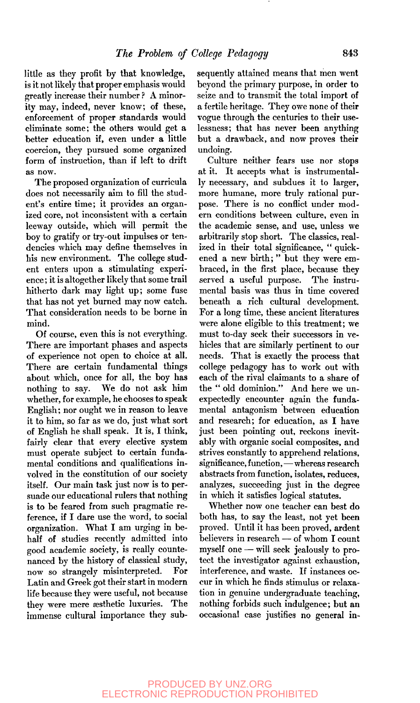little as they profit by that knowledge, is it not likely that proper emphasis would greatly increase their number ? A minority may, indeed, never know; of these, enforcement of proper standards would eliminate some; the others would get a better education if, even under a little coercion, they pursued some organized form of instruction, than if left to drift as now.

The proposed organization of curricula does not necessarily aim to fill the student's entire time; it provides an organized core, not inconsistent with a certain leeway outside, which will permit the boy to gratify or try-out impulses or tendencies which may define themselves in his new environment. The college student enters upon a stimulating experience ; it is altogether likely that some trail hitherto dark may light up; some fuse that has not yet burned may now catch. That consideration needs to be borne in mind.

Of course, even this is not everything. There are important phases and aspects of experience not open to choice at all. There are certain fundamental things about which, once for all, the boy has nothing to say. We do not ask him whether, for example, he chooses to speak English; nor ought we in reason to leave it to him, so far as we do, just what sort of English he shall speak. It is, I think, fairly clear that every elective system must operate subject to certain fundamental conditions and qualifications involved in the constitution of our society itself. Our main task just now is to persuade our educational rulers that nothing is to be feared from such pragmatic reference, if I dare use the word, to social organization. What I am urging in behalf of studies recently admitted into good academic society, is really countenanced by the history of classical study, now so strangely misinterpreted. For Latin and Greek got their start in modern life because they were useful, not because they were mere aesthetic luxuries. The immense cultural importance they subsequently attained means that men went beyond the primary purpose, in order to seize and to transmit the total import of a fertile heritage. They owe none of their vogue through the centuries to their uselessness; that has never been anything but a drawback, and now proves their undoing.

Culture neither fears use nor stops at it. It accepts what is instrumentally necessary, and subdues it to larger, more humane, more truly rational purpose. There is no conflict under modern conditions between culture, even in the academic sense, and use, unless we arbitrarily stop short. The classics, realized in their total significance, " quickened a new birth; " but they were embraced, in the first place, because they served a useful purpose. The instrumental basis was thus in time covered beneath a rich cultural development. For a long time, these ancient literatures were alone eligible to this treatment; we must to-day seek their successors in vehicles that are similarly pertinent to our needs. That is exactly the process that college pedagogy has to work out with each of the rival claimants to a share of the " old dominion." And here we unexpectedly encounter again the fundamental antagonism between education and research; for education, as I have just been pointing out, reckons inevitably with organic social composites, and strives constantly to apprehend relations, significance, function,—whereas research abstracts from function, isolates, reduces, analyzes, succeeding just in the degree in which it satisfies logical statutes.

Whether now one teacher can best do both has, to say the least, not yet been proved. Until it has been proved, ardent believers in research — of whom I count myself one — will seek jealously to protect the investigator against exhaustion, interference, and waste. If instances occur in which he finds stimulus or relaxation in genuine undergraduate teaching, nothing forbids such indulgence; but an occasional case justifies no general in-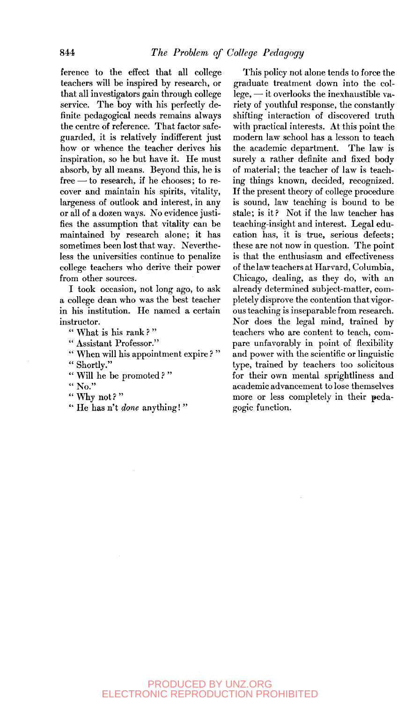ference to the effect that all college teachers will be inspired by research, or that all investigators gain through college service. The boy with his perfectly definite pedagogical needs remains always the centre of reference. That factor safeguarded, it is relatively indifferent just how or whence the teacher derives his inspiration, so he but have it. He must absorb, by all means. Beyond this, he is free — to research, if he chooses; to recover and maintain his spirits, vitality, largeness of outlook and interest, in any or all of a dozen ways. No evidence justifies the assumption that vitality can be maintained by research alone; it has sometimes been lost that way. Nevertheless the universities continue to penalize college teachers who derive their power from other sources.

I took occasion, not long ago, to ask a college dean who was the best teacher in his institution. He named a certain instructor.

" What is his rank?"

" Assistant Professor."

" When will his appointment expire ? " " Shortly."

" Will he be promoted?"

" No."

"Why not? "

" He has n't *done* anything! "

This policy not alone tends to force the graduate treatment down into the college, — it overlooks the inexhaustible variety of youthful response, the constantly shifting interaction of discovered truth with practical interests. At this point the modern law school has a lesson to teach the academic department. The law is surely a rather definite and fixed body of material; the teacher of law is teaching things known, decided, recognized. If the present theory of college procedure is sound, law teaching is bound to be stale; is it? Not if the law teacher has teaching-insight and interest. Legal education has, it is true, serious defects; these are not now in question. The point is that the enthusiasm and effectiveness of the law teachers at Harvard, Columbia, Chicago, dealing, as they do, with an already determined subject-matter, completely disprove the contention that vigorous teaching is inseparable from research. Nor does the legal mind, trained by teachers who are content to teach, compare unfavorably in point of flexibility and power with the scientific or linguistic type, trained by teachers too solicitous for their own mental sprightliness and academic advancement to lose themselves more or less completely in their pedagogic function.

## PRODUCED BY UNZ.ORG ELECTRONIC REPRODUCTION PROHIBITED